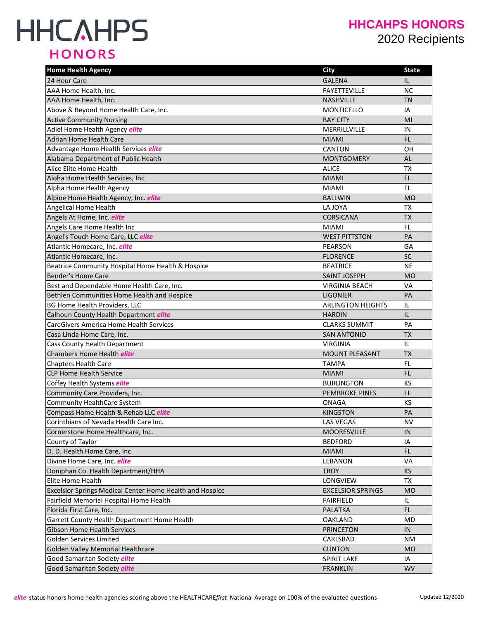# **HHCAHPS HONORS**

### **HHCAHPS HONORS** 2020 Recipients

| <b>Home Health Agency</b>                                | <b>City</b>              | <b>State</b> |
|----------------------------------------------------------|--------------------------|--------------|
| 24 Hour Care                                             | <b>GALENA</b>            | IL           |
| AAA Home Health, Inc.                                    | <b>FAYETTEVILLE</b>      | <b>NC</b>    |
| AAA Home Health, Inc.                                    | <b>NASHVILLE</b>         | <b>TN</b>    |
| Above & Beyond Home Health Care, Inc.                    | <b>MONTICELLO</b>        | IA           |
| <b>Active Community Nursing</b>                          | <b>BAY CITY</b>          | MI           |
| Adiel Home Health Agency elite                           | MERRILLVILLE             | IN           |
| <b>Adrian Home Health Care</b>                           | <b>MIAMI</b>             | FL           |
| Advantage Home Health Services elite                     | <b>CANTON</b>            | OН           |
| Alabama Department of Public Health                      | <b>MONTGOMERY</b>        | AL           |
| Alice Elite Home Health                                  | <b>ALICE</b>             | TX           |
| Aloha Home Health Services, Inc                          | <b>MIAMI</b>             | FL.          |
| Alpha Home Health Agency                                 | <b>MIAMI</b>             | FL           |
| Alpine Home Health Agency, Inc. elite                    | <b>BALLWIN</b>           | <b>MO</b>    |
| Angelical Home Health                                    | LA JOYA                  | ТX           |
| Angels At Home, Inc. elite                               | <b>CORSICANA</b>         | <b>TX</b>    |
| Angels Care Home Health Inc                              | <b>MIAMI</b>             | FL.          |
| Angel's Touch Home Care, LLC elite                       | <b>WEST PITTSTON</b>     | PA           |
| Atlantic Homecare, Inc. elite                            | PEARSON                  | GA           |
| Atlantic Homecare, Inc.                                  | <b>FLORENCE</b>          | SC           |
| Beatrice Community Hospital Home Health & Hospice        | <b>BEATRICE</b>          | NE           |
| Bender's Home Care                                       | <b>SAINT JOSEPH</b>      | <b>MO</b>    |
| Best and Dependable Home Health Care, Inc.               | <b>VIRGINIA BEACH</b>    | VA           |
| Bethlen Communities Home Health and Hospice              | <b>LIGONIER</b>          | PA           |
| <b>BG Home Health Providers, LLC</b>                     | <b>ARLINGTON HEIGHTS</b> | IL           |
| Calhoun County Health Department elite                   | <b>HARDIN</b>            | IL           |
| CareGivers America Home Health Services                  | <b>CLARKS SUMMIT</b>     | PA           |
| Casa Linda Home Care, Inc.                               | <b>SAN ANTONIO</b>       | <b>TX</b>    |
| Cass County Health Department                            | <b>VIRGINIA</b>          | IL           |
| Chambers Home Health elite                               | <b>MOUNT PLEASANT</b>    | <b>TX</b>    |
| Chapters Health Care                                     | <b>TAMPA</b>             | FL           |
| <b>CLP Home Health Service</b>                           | <b>MIAMI</b>             | FL           |
| Coffey Health Systems elite                              | <b>BURLINGTON</b>        | ΚS           |
| Community Care Providers, Inc.                           | <b>PEMBROKE PINES</b>    | FL           |
| Community HealthCare System                              | <b>ONAGA</b>             | KS           |
| Compass Home Health & Rehab LLC elite                    | <b>KINGSTON</b>          | PA           |
| Corinthians of Nevada Health Care Inc.                   | LAS VEGAS                | <b>NV</b>    |
| Cornerstone Home Healthcare, Inc.                        | <b>MOORESVILLE</b>       | IN           |
| County of Taylor                                         | <b>BEDFORD</b>           | ΙA           |
| D. D. Health Home Care, Inc.                             | <b>MIAMI</b>             | FL.          |
| Divine Home Care, Inc. elite                             | LEBANON                  | VA           |
| Doniphan Co. Health Department/HHA                       | <b>TROY</b>              | KS           |
| Elite Home Health                                        | LONGVIEW                 | TX           |
| Excelsior Springs Medical Center Home Health and Hospice | <b>EXCELSIOR SPRINGS</b> | <b>MO</b>    |
| Fairfield Memorial Hospital Home Health                  | <b>FAIRFIELD</b>         | IL.          |
| Florida First Care, Inc.                                 | <b>PALATKA</b>           | FL.          |
| Garrett County Health Department Home Health             | <b>OAKLAND</b>           | MD           |
| <b>Gibson Home Health Services</b>                       | <b>PRINCETON</b>         | IN           |
| Golden Services Limited                                  | CARLSBAD                 | <b>NM</b>    |
| <b>Golden Valley Memorial Healthcare</b>                 | <b>CLINTON</b>           | <b>MO</b>    |
| Good Samaritan Society <i>elite</i>                      | <b>SPIRIT LAKE</b>       | IA           |
| Good Samaritan Society elite                             | <b>FRANKLIN</b>          | <b>WV</b>    |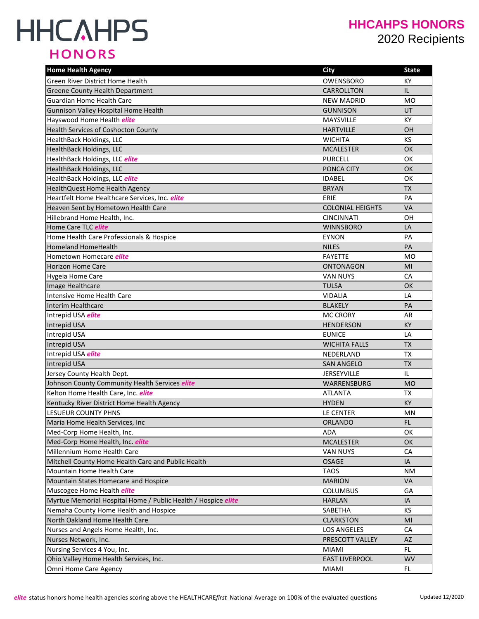# **HHCAHPS HONORS**

### **HHCAHPS HONORS** 2020 Recipients

| <b>Home Health Agency</b>                                     | <b>City</b>             | <b>State</b> |
|---------------------------------------------------------------|-------------------------|--------------|
| Green River District Home Health                              | OWENSBORO               | KY           |
| <b>Greene County Health Department</b>                        | <b>CARROLLTON</b>       | IL.          |
| <b>Guardian Home Health Care</b>                              | <b>NEW MADRID</b>       | <b>MO</b>    |
| Gunnison Valley Hospital Home Health                          | <b>GUNNISON</b>         | UT           |
| Hayswood Home Health elite                                    | MAYSVILLE               | KY           |
| Health Services of Coshocton County                           | <b>HARTVILLE</b>        | OH           |
| HealthBack Holdings, LLC                                      | <b>WICHITA</b>          | <b>KS</b>    |
| <b>HealthBack Holdings, LLC</b>                               | <b>MCALESTER</b>        | OK           |
| HealthBack Holdings, LLC elite                                | <b>PURCELL</b>          | <b>OK</b>    |
| HealthBack Holdings, LLC                                      | PONCA CITY              | OK           |
| HealthBack Holdings, LLC elite                                | <b>IDABEL</b>           | <b>OK</b>    |
| HealthQuest Home Health Agency                                | <b>BRYAN</b>            | <b>TX</b>    |
| Heartfelt Home Healthcare Services, Inc. elite                | ERIE                    | PA           |
| Heaven Sent by Hometown Health Care                           | <b>COLONIAL HEIGHTS</b> | <b>VA</b>    |
| Hillebrand Home Health, Inc.                                  | <b>CINCINNATI</b>       | OH           |
| Home Care TLC elite                                           | <b>WINNSBORO</b>        | LA           |
| Home Health Care Professionals & Hospice                      | <b>EYNON</b>            | PA           |
| <b>Homeland HomeHealth</b>                                    | <b>NILES</b>            | PA           |
| Hometown Homecare <i>elite</i>                                | <b>FAYETTE</b>          | <b>MO</b>    |
| <b>Horizon Home Care</b>                                      | <b>ONTONAGON</b>        | MI           |
| Hygeia Home Care                                              | <b>VAN NUYS</b>         | CA           |
| Image Healthcare                                              | <b>TULSA</b>            | <b>OK</b>    |
| <b>Intensive Home Health Care</b>                             | <b>VIDALIA</b>          | LA           |
| Interim Healthcare                                            | <b>BLAKELY</b>          | PA           |
| Intrepid USA elite                                            | <b>MC CRORY</b>         | AR           |
| <b>Intrepid USA</b>                                           | <b>HENDERSON</b>        | <b>KY</b>    |
| Intrepid USA                                                  | <b>EUNICE</b>           | LA           |
| <b>Intrepid USA</b>                                           | <b>WICHITA FALLS</b>    | <b>TX</b>    |
| Intrepid USA elite                                            | NEDERLAND               | TX           |
| Intrepid USA                                                  | <b>SAN ANGELO</b>       | <b>TX</b>    |
| Jersey County Health Dept.                                    | JERSEYVILLE             | IL           |
| Johnson County Community Health Services elite                | WARRENSBURG             | <b>MO</b>    |
| Kelton Home Health Care, Inc. elite                           | <b>ATLANTA</b>          | TX           |
| Kentucky River District Home Health Agency                    | <b>HYDEN</b>            | KY           |
| LESUEUR COUNTY PHNS                                           | LE CENTER               | ΜN           |
| Maria Home Health Services, Inc                               | <b>ORLANDO</b>          | FL.          |
| Med-Corp Home Health, Inc.                                    | <b>ADA</b>              | OK           |
| Med-Corp Home Health, Inc. elite                              | <b>MCALESTER</b>        | <b>OK</b>    |
| Millennium Home Health Care                                   | <b>VAN NUYS</b>         | CA           |
| Mitchell County Home Health Care and Public Health            | <b>OSAGE</b>            | IA           |
| <b>Mountain Home Health Care</b>                              | <b>TAOS</b>             | ΝM           |
| Mountain States Homecare and Hospice                          | <b>MARION</b>           | <b>VA</b>    |
| Muscogee Home Health <i>elite</i>                             | <b>COLUMBUS</b>         | GA           |
| Myrtue Memorial Hospital Home / Public Health / Hospice elite | <b>HARLAN</b>           | IA           |
| Nemaha County Home Health and Hospice                         | SABETHA                 | KS           |
| North Oakland Home Health Care                                | <b>CLARKSTON</b>        | MI           |
| Nurses and Angels Home Health, Inc.                           | <b>LOS ANGELES</b>      | СA           |
| Nurses Network, Inc.                                          | PRESCOTT VALLEY         | AZ           |
| Nursing Services 4 You, Inc.                                  | <b>MIAMI</b>            | FL.          |
| Ohio Valley Home Health Services, Inc.                        | <b>EAST LIVERPOOL</b>   | <b>WV</b>    |
| Omni Home Care Agency                                         | <b>MIAMI</b>            | FL.          |
|                                                               |                         |              |